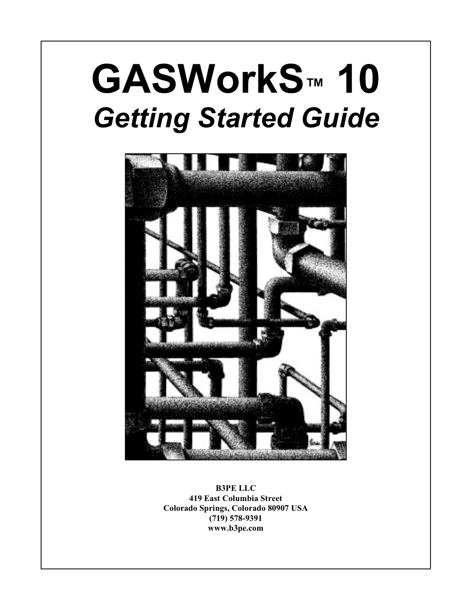# **GASWorkS™ 10** *Getting Started Guide*



**B3PE LLC 419 East Columbia Street Colorado Springs, Colorado 80907 USA (719) 578-9391 www.b3pe.com**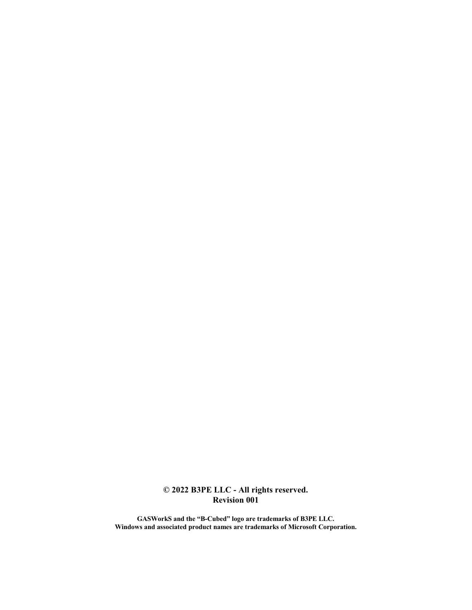#### **© 2022 B3PE LLC - All rights reserved. Revision 001**

**GASWorkS and the "B-Cubed" logo are trademarks of B3PE LLC. Windows and associated product names are trademarks of Microsoft Corporation.**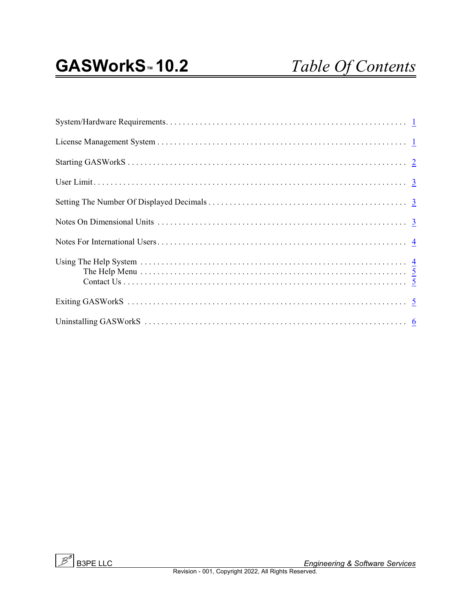<span id="page-2-0"></span>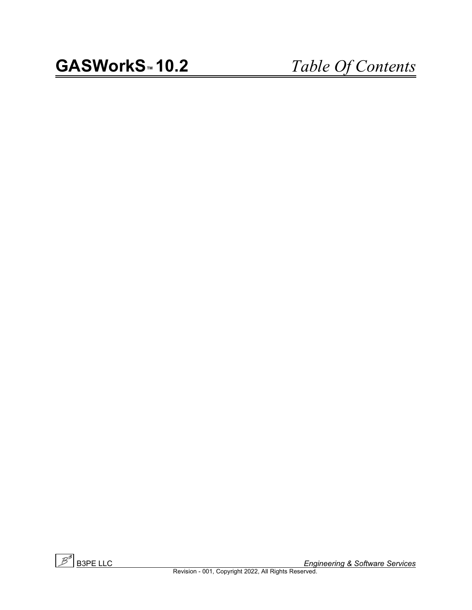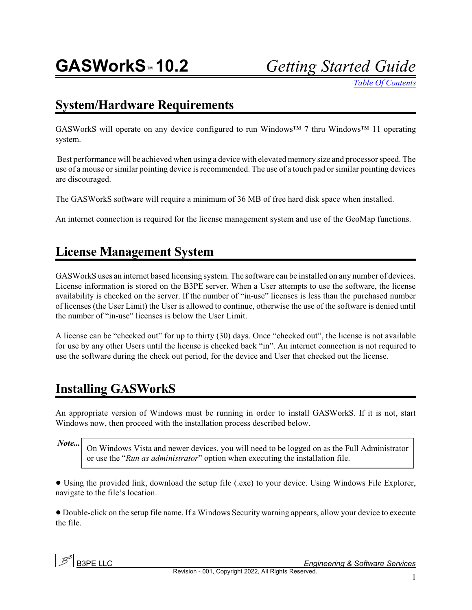#### <span id="page-4-0"></span>**System/Hardware Requirements**

GASWorkS will operate on any device configured to run Windows<sup>™</sup> 7 thru Windows<sup>™</sup> 11 operating system.

Best performance will be achieved when using a device with elevated memory size and processor speed. The use of a mouse orsimilar pointing device is recommended. The use of a touch pad orsimilar pointing devices are discouraged.

The GASWorkS software will require a minimum of 36 MB of free hard disk space when installed.

An internet connection is required for the license management system and use of the GeoMap functions.

#### <span id="page-4-1"></span>**License Management System**

GASWorkS uses an internet based licensing system. The software can be installed on any number of devices. License information is stored on the B3PE server. When a User attempts to use the software, the license availability is checked on the server. If the number of "in-use" licenses is less than the purchased number of licenses (the User Limit) the User is allowed to continue, otherwise the use of the software is denied until the number of "in-use" licenses is below the User Limit.

A license can be "checked out" for up to thirty (30) days. Once "checked out", the license is not available for use by any other Users until the license is checked back "in". An internet connection is not required to use the software during the check out period, for the device and User that checked out the license.

#### **Installing GASWorkS**

An appropriate version of Windows must be running in order to install GASWorkS. If it is not, start Windows now, then proceed with the installation process described below.

On Windows Vista and newer devices, you will need to be logged on as the Full Administrator or use the "*Run as administrator*" option when executing the installation file.

! Using the provided link, download the setup file (.exe) to your device. Using Windows File Explorer, navigate to the file's location.

! Double-click on the setup file name. If a Windows Security warning appears, allow your device to execute the file.

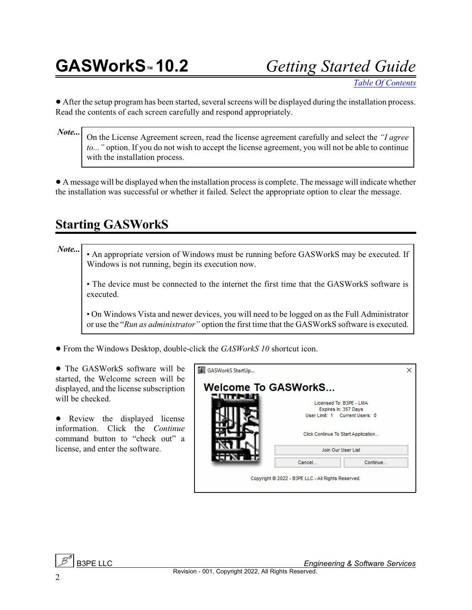**GASWorkS™ 10.2** *Getting Started Guide*

*[Table Of Contents](#page-2-0)*

• After the setup program has been started, several screens will be displayed during the installation process. Read the contents of each screen carefully and respond appropriately.

*Note...*

On the License Agreement screen, read the license agreement carefully and select the *"I agree to..."* option. If you do not wish to accept the license agreement, you will not be able to continue with the installation process.

! A message will be displayed when the installation process is complete. The message will indicate whether the installation was successful or whether it failed. Select the appropriate option to clear the message.

# <span id="page-5-0"></span>**Starting GASWorkS**

*Note...*

• An appropriate version of Windows must be running before GASWorkS may be executed. If Windows is not running, begin its execution now.

• The device must be connected to the internet the first time that the GASWorkS software is executed.

• On Windows Vista and newer devices, you will need to be logged on as the Full Administrator or use the "*Run as administrator"* option the first time that the GASWorkS software is executed.

! From the Windows Desktop, double-click the *GASWorkS 10* shortcut icon.

• The GASWorkS software will be started, the Welcome screen will be displayed, and the license subscription will be checked.

• Review the displayed license information. Click the *Continue* command button to "check out" a license, and enter the software.

| <b>Welcome To GASWorkS</b> |        |                                                                                                                          |
|----------------------------|--------|--------------------------------------------------------------------------------------------------------------------------|
|                            |        | Licensed To: B3PE - LMA<br>Expires In: 357 Days<br>User Limit: 1 Current Users: 0<br>Click Continue To Start Application |
|                            |        | Join Our User List                                                                                                       |
|                            | Cancel | Continue                                                                                                                 |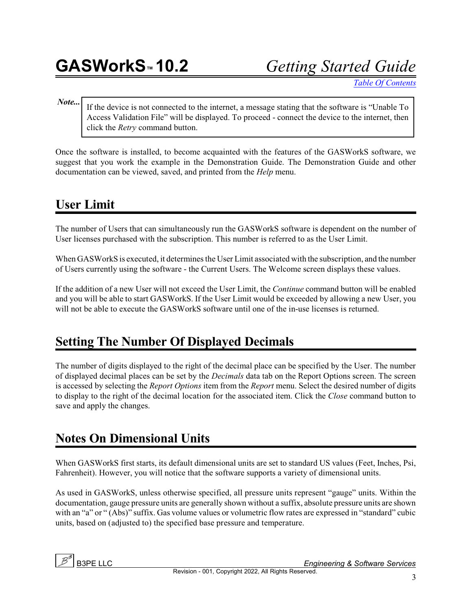*Note...*

If the device is not connected to the internet, a message stating that the software is "Unable To Access Validation File" will be displayed. To proceed - connect the device to the internet, then click the *Retry* command button.

Once the software is installed, to become acquainted with the features of the GASWorkS software, we suggest that you work the example in the Demonstration Guide. The Demonstration Guide and other documentation can be viewed, saved, and printed from the *Help* menu.

# <span id="page-6-0"></span>**User Limit**

The number of Users that can simultaneously run the GASWorkS software is dependent on the number of User licenses purchased with the subscription. This number is referred to as the User Limit.

When GASWorkS is executed, it determines the User Limit associated with the subscription, and the number of Users currently using the software - the Current Users. The Welcome screen displays these values.

If the addition of a new User will not exceed the User Limit, the *Continue* command button will be enabled and you will be able to start GASWorkS. If the User Limit would be exceeded by allowing a new User, you will not be able to execute the GASWorkS software until one of the in-use licenses is returned.

### <span id="page-6-1"></span>**Setting The Number Of Displayed Decimals**

The number of digits displayed to the right of the decimal place can be specified by the User. The number of displayed decimal places can be set by the *Decimals* data tab on the Report Options screen. The screen is accessed by selecting the *Report Options* item from the *Report* menu. Select the desired number of digits to display to the right of the decimal location for the associated item. Click the *Close* command button to save and apply the changes.

### <span id="page-6-2"></span>**Notes On Dimensional Units**

When GASWorkS first starts, its default dimensional units are set to standard US values (Feet, Inches, Psi, Fahrenheit). However, you will notice that the software supports a variety of dimensional units.

As used in GASWorkS, unless otherwise specified, all pressure units represent "gauge" units. Within the documentation, gauge pressure units are generally shown without a suffix, absolute pressure units are shown with an "a" or " (Abs)" suffix. Gas volume values or volumetric flow rates are expressed in "standard" cubic units, based on (adjusted to) the specified base pressure and temperature.

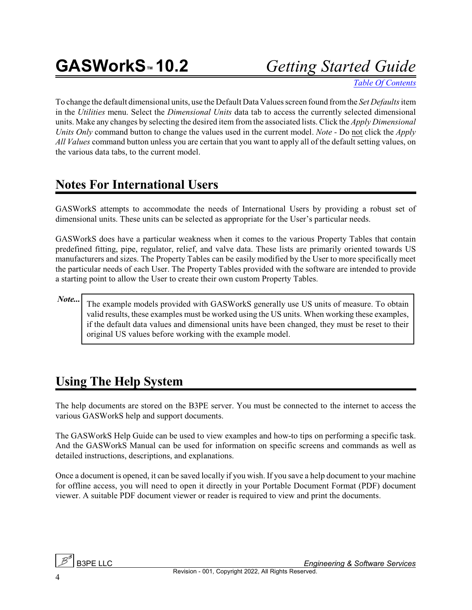# **GASWorkS™ 10.2** *Getting Started Guide*

*[Table Of Contents](#page-2-0)*

To change the default dimensional units, use the Default Data Values screen found fromthe *Set Defaults* item in the *Utilities* menu. Select the *Dimensional Units* data tab to access the currently selected dimensional units. Make any changes by selecting the desired item from the associated lists. Click the *Apply Dimensional Units Only* command button to change the values used in the current model. *Note -* Do not click the *Apply All Values* command button unless you are certain that you want to apply all of the default setting values, on the various data tabs, to the current model.

### <span id="page-7-0"></span>**Notes For International Users**

GASWorkS attempts to accommodate the needs of International Users by providing a robust set of dimensional units. These units can be selected as appropriate for the User's particular needs.

GASWorkS does have a particular weakness when it comes to the various Property Tables that contain predefined fitting, pipe, regulator, relief, and valve data. These lists are primarily oriented towards US manufacturers and sizes. The Property Tables can be easily modified by the User to more specifically meet the particular needs of each User. The Property Tables provided with the software are intended to provide a starting point to allow the User to create their own custom Property Tables.

*Note...*

The example models provided with GASWorkS generally use US units of measure. To obtain valid results, these examples must be worked using the US units. When working these examples, if the default data values and dimensional units have been changed, they must be reset to their original US values before working with the example model.

### <span id="page-7-1"></span>**Using The Help System**

The help documents are stored on the B3PE server. You must be connected to the internet to access the various GASWorkS help and support documents.

The GASWorkS Help Guide can be used to view examples and how-to tips on performing a specific task. And the GASWorkS Manual can be used for information on specific screens and commands as well as detailed instructions, descriptions, and explanations.

Once a document is opened, it can be saved locally if you wish. If you save a help document to your machine for offline access, you will need to open it directly in your Portable Document Format (PDF) document viewer. A suitable PDF document viewer or reader is required to view and print the documents.

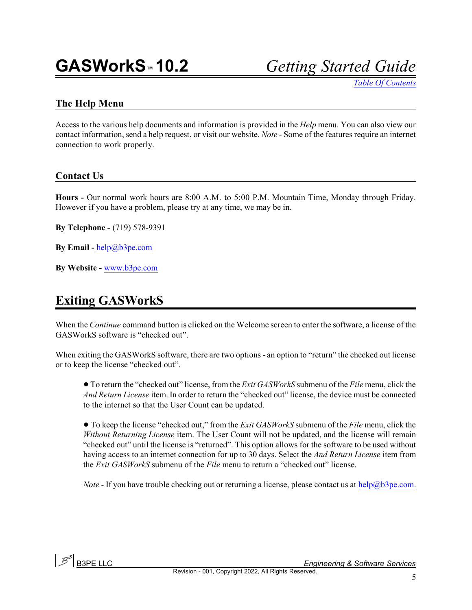#### <span id="page-8-0"></span>**The Help Menu**

Access to the various help documents and information is provided in the *Help* menu. You can also view our contact information, send a help request, or visit our website. *Note -* Some of the features require an internet connection to work properly.

#### <span id="page-8-1"></span>**Contact Us**

**Hours -** Our normal work hours are 8:00 A.M. to 5:00 P.M. Mountain Time, Monday through Friday. However if you have a problem, please try at any time, we may be in.

**By Telephone -** (719) 578-9391

**By Email -** [help@b3pe.com](mailto:help@b3pe.com)

**By Website -** [www.b3pe.com](http://www.b3pe.com)

#### <span id="page-8-2"></span>**Exiting GASWorkS**

When the *Continue* command button is clicked on the Welcome screen to enter the software, a license of the GASWorkS software is "checked out".

When exiting the GASWorkS software, there are two options - an option to "return" the checked out license or to keep the license "checked out".

! To return the "checked out" license, from the *Exit GASWorkS* submenu of the *File* menu, click the *And Return License* item. In order to return the "checked out" license, the device must be connected to the internet so that the User Count can be updated.

! To keep the license "checked out," from the *Exit GASWorkS* submenu of the *File* menu, click the *Without Returning License* item. The User Count will not be updated, and the license will remain "checked out" until the license is "returned". This option allows for the software to be used without having access to an internet connection for up to 30 days. Select the *And Return License* item from the *Exit GASWorkS* submenu of the *File* menu to return a "checked out" license.

*Note* - If you have trouble checking out or returning a license, please contact us at [help@b3pe.com](mailto:help@b3pe.com,).

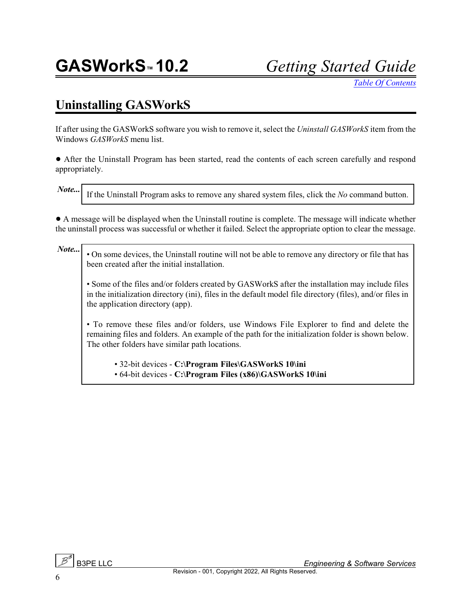# <span id="page-9-0"></span>**Uninstalling GASWorkS**

If after using the GASWorkS software you wish to remove it, select the *Uninstall GASWorkS* item from the Windows *GASWorkS* menu list.

! After the Uninstall Program has been started, read the contents of each screen carefully and respond appropriately.

*Note...*

*Note...*

If the Uninstall Program asks to remove any shared system files, click the *No* command button.

! A message will be displayed when the Uninstall routine is complete. The message will indicate whether the uninstall process was successful or whether it failed. Select the appropriate option to clear the message.

• On some devices, the Uninstall routine will not be able to remove any directory or file that has been created after the initial installation.

• Some of the files and/or folders created by GASWorkS after the installation may include files in the initialization directory (ini), files in the default model file directory (files), and/or files in the application directory (app).

• To remove these files and/or folders, use Windows File Explorer to find and delete the remaining files and folders. An example of the path for the initialization folder is shown below. The other folders have similar path locations.

• 32-bit devices - **C:\Program Files\GASWorkS 10\ini**

• 64-bit devices - **C:\Program Files (x86)\GASWorkS 10\ini**